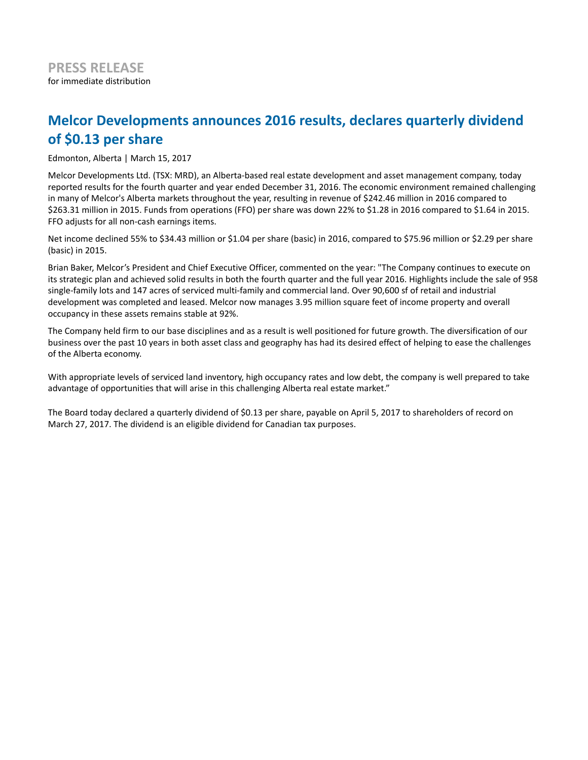## **Melcor Developments announces 2016 results, declares quarterly dividend of \$0.13 per share**

Edmonton, Alberta | March 15, 2017

Melcor Developments Ltd. (TSX: MRD), an Alberta-based real estate development and asset management company, today reported results for the fourth quarter and year ended December 31, 2016. The economic environment remained challenging in many of Melcor's Alberta markets throughout the year, resulting in revenue of \$242.46 million in 2016 compared to \$263.31 million in 2015. Funds from operations (FFO) per share was down 22% to \$1.28 in 2016 compared to \$1.64 in 2015. FFO adjusts for all non-cash earnings items.

Net income declined 55% to \$34.43 million or \$1.04 per share (basic) in 2016, compared to \$75.96 million or \$2.29 per share (basic) in 2015.

Brian Baker, Melcor's President and Chief Executive Officer, commented on the year: "The Company continues to execute on its strategic plan and achieved solid results in both the fourth quarter and the full year 2016. Highlights include the sale of 958 single-family lots and 147 acres of serviced multi-family and commercial land. Over 90,600 sf of retail and industrial development was completed and leased. Melcor now manages 3.95 million square feet of income property and overall occupancy in these assets remains stable at 92%.

The Company held firm to our base disciplines and as a result is well positioned for future growth. The diversification of our business over the past 10 years in both asset class and geography has had its desired effect of helping to ease the challenges of the Alberta economy.

With appropriate levels of serviced land inventory, high occupancy rates and low debt, the company is well prepared to take advantage of opportunities that will arise in this challenging Alberta real estate market."

The Board today declared a quarterly dividend of \$0.13 per share, payable on April 5, 2017 to shareholders of record on March 27, 2017. The dividend is an eligible dividend for Canadian tax purposes.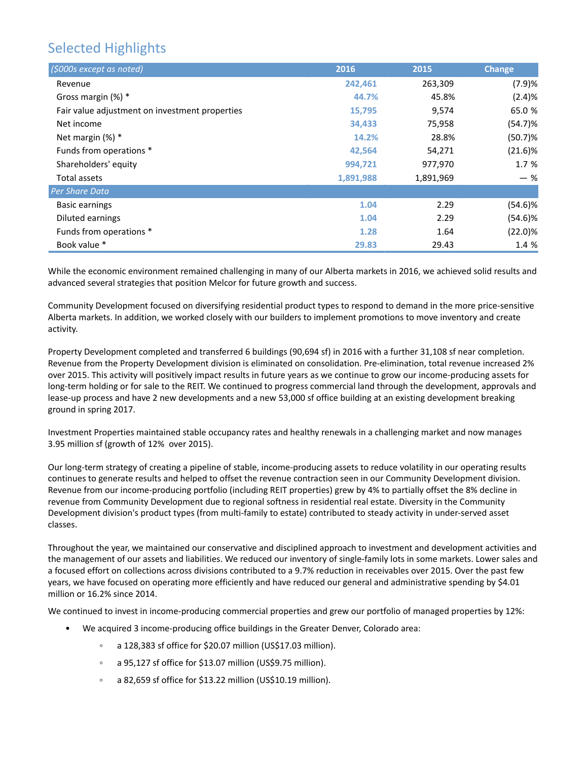# Selected Highlights

| (\$000s except as noted)                       | 2016      | 2015      | <b>Change</b> |
|------------------------------------------------|-----------|-----------|---------------|
| Revenue                                        | 242,461   | 263,309   | (7.9)%        |
| Gross margin (%) *                             | 44.7%     | 45.8%     | (2.4)%        |
| Fair value adjustment on investment properties | 15,795    | 9,574     | 65.0 %        |
| Net income                                     | 34,433    | 75,958    | (54.7)%       |
| Net margin $(\%)$ *                            | 14.2%     | 28.8%     | (50.7)%       |
| Funds from operations *                        | 42,564    | 54,271    | $(21.6)\%$    |
| Shareholders' equity                           | 994,721   | 977,970   | 1.7%          |
| Total assets                                   | 1,891,988 | 1,891,969 | — %           |
| <b>Per Share Data</b>                          |           |           |               |
| <b>Basic earnings</b>                          | 1.04      | 2.29      | $(54.6)\%$    |
| Diluted earnings                               | 1.04      | 2.29      | $(54.6)\%$    |
| Funds from operations *                        | 1.28      | 1.64      | $(22.0)\%$    |
| Book value *                                   | 29.83     | 29.43     | 1.4 %         |

While the economic environment remained challenging in many of our Alberta markets in 2016, we achieved solid results and advanced several strategies that position Melcor for future growth and success.

Community Development focused on diversifying residential product types to respond to demand in the more price-sensitive Alberta markets. In addition, we worked closely with our builders to implement promotions to move inventory and create activity.

Property Development completed and transferred 6 buildings (90,694 sf) in 2016 with a further 31,108 sf near completion. Revenue from the Property Development division is eliminated on consolidation. Pre-elimination, total revenue increased 2% over 2015. This activity will positively impact results in future years as we continue to grow our income-producing assets for long-term holding or for sale to the REIT. We continued to progress commercial land through the development, approvals and lease-up process and have 2 new developments and a new 53,000 sf office building at an existing development breaking ground in spring 2017.

Investment Properties maintained stable occupancy rates and healthy renewals in a challenging market and now manages 3.95 million sf (growth of 12% over 2015).

Our long-term strategy of creating a pipeline of stable, income-producing assets to reduce volatility in our operating results continues to generate results and helped to offset the revenue contraction seen in our Community Development division. Revenue from our income-producing portfolio (including REIT properties) grew by 4% to partially offset the 8% decline in revenue from Community Development due to regional softness in residential real estate. Diversity in the Community Development division's product types (from multi-family to estate) contributed to steady activity in under-served asset classes.

Throughout the year, we maintained our conservative and disciplined approach to investment and development activities and the management of our assets and liabilities. We reduced our inventory of single-family lots in some markets. Lower sales and a focused effort on collections across divisions contributed to a 9.7% reduction in receivables over 2015. Over the past few years, we have focused on operating more efficiently and have reduced our general and administrative spending by \$4.01 million or 16.2% since 2014.

We continued to invest in income-producing commercial properties and grew our portfolio of managed properties by 12%:

- We acquired 3 income-producing office buildings in the Greater Denver, Colorado area:
	- a 128,383 sf office for \$20.07 million (US\$17.03 million).  $\circ$
	- a 95,127 sf office for \$13.07 million (US\$9.75 million).  $\circ$
	- a 82,659 sf office for \$13.22 million (US\$10.19 million). $\circ$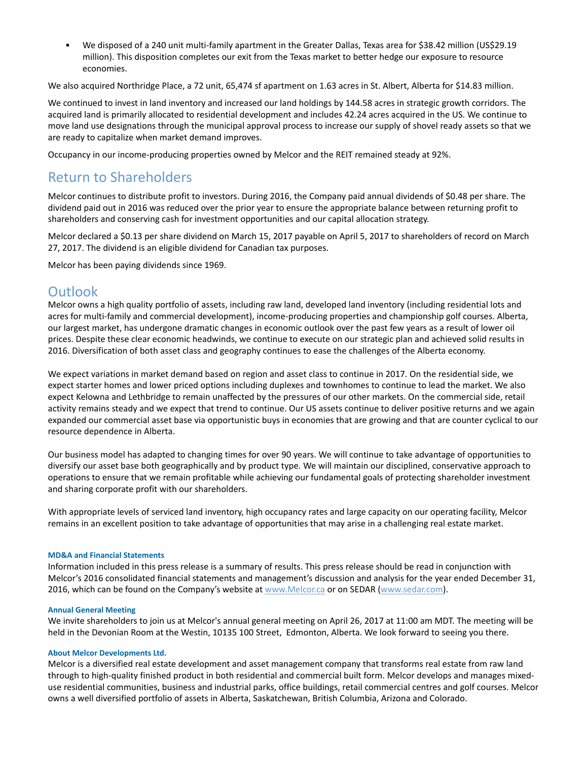• We disposed of a 240 unit multi-family apartment in the Greater Dallas, Texas area for \$38.42 million (US\$29.19 million). This disposition completes our exit from the Texas market to better hedge our exposure to resource economies.

We also acquired Northridge Place, a 72 unit, 65,474 sf apartment on 1.63 acres in St. Albert, Alberta for \$14.83 million.

We continued to invest in land inventory and increased our land holdings by 144.58 acres in strategic growth corridors. The acquired land is primarily allocated to residential development and includes 42.24 acres acquired in the US. We continue to move land use designations through the municipal approval process to increase our supply of shovel ready assets so that we are ready to capitalize when market demand improves.

Occupancy in our income-producing properties owned by Melcor and the REIT remained steady at 92%.

### Return to Shareholders

Melcor continues to distribute profit to investors. During 2016, the Company paid annual dividends of \$0.48 per share. The dividend paid out in 2016 was reduced over the prior year to ensure the appropriate balance between returning profit to shareholders and conserving cash for investment opportunities and our capital allocation strategy.

Melcor declared a \$0.13 per share dividend on March 15, 2017 payable on April 5, 2017 to shareholders of record on March 27, 2017. The dividend is an eligible dividend for Canadian tax purposes.

Melcor has been paying dividends since 1969.

### **Outlook**

Melcor owns a high quality portfolio of assets, including raw land, developed land inventory (including residential lots and acres for multi-family and commercial development), income-producing properties and championship golf courses. Alberta, our largest market, has undergone dramatic changes in economic outlook over the past few years as a result of lower oil prices. Despite these clear economic headwinds, we continue to execute on our strategic plan and achieved solid results in 2016. Diversification of both asset class and geography continues to ease the challenges of the Alberta economy.

We expect variations in market demand based on region and asset class to continue in 2017. On the residential side, we expect starter homes and lower priced options including duplexes and townhomes to continue to lead the market. We also expect Kelowna and Lethbridge to remain unaffected by the pressures of our other markets. On the commercial side, retail activity remains steady and we expect that trend to continue. Our US assets continue to deliver positive returns and we again expanded our commercial asset base via opportunistic buys in economies that are growing and that are counter cyclical to our resource dependence in Alberta.

Our business model has adapted to changing times for over 90 years. We will continue to take advantage of opportunities to diversify our asset base both geographically and by product type. We will maintain our disciplined, conservative approach to operations to ensure that we remain profitable while achieving our fundamental goals of protecting shareholder investment and sharing corporate profit with our shareholders.

With appropriate levels of serviced land inventory, high occupancy rates and large capacity on our operating facility, Melcor remains in an excellent position to take advantage of opportunities that may arise in a challenging real estate market.

#### **MD&A and Financial Statements**

Information included in this press release is a summary of results. This press release should be read in conjunction with Melcor's 2016 consolidated financial statements and management's discussion and analysis for the year ended December 31, 2016, which can be found on the Company's website at www.Melcor.ca or on SEDAR (www.sedar.com).

#### **Annual General Meeting**

We invite shareholders to join us at Melcor's annual general meeting on April 26, 2017 at 11:00 am MDT. The meeting will be held in the Devonian Room at the Westin, 10135 100 Street, Edmonton, Alberta. We look forward to seeing you there.

#### **About Melcor Developments Ltd.**

Melcor is a diversified real estate development and asset management company that transforms real estate from raw land through to high-quality finished product in both residential and commercial built form. Melcor develops and manages mixeduse residential communities, business and industrial parks, office buildings, retail commercial centres and golf courses. Melcor owns a well diversified portfolio of assets in Alberta, Saskatchewan, British Columbia, Arizona and Colorado.